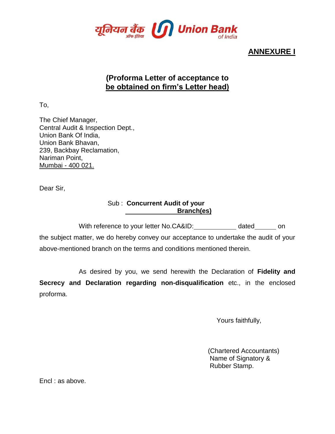

# **ANNEXURE I**

# **(Proforma Letter of acceptance to be obtained on firm's Letter head)**

To,

The Chief Manager, Central Audit & Inspection Dept., Union Bank Of India, Union Bank Bhavan, 239, Backbay Reclamation, Nariman Point, Mumbai - 400 021.

Dear Sir,

### Sub : **Concurrent Audit of your Branch(es)**

With reference to your letter No.CA&ID: dated on

the subject matter, we do hereby convey our acceptance to undertake the audit of your above-mentioned branch on the terms and conditions mentioned therein.

As desired by you, we send herewith the Declaration of **Fidelity and** 

**Secrecy and Declaration regarding non-disqualification** etc., in the enclosed proforma.

Yours faithfully,

 (Chartered Accountants) Name of Signatory & Rubber Stamp.

Encl : as above.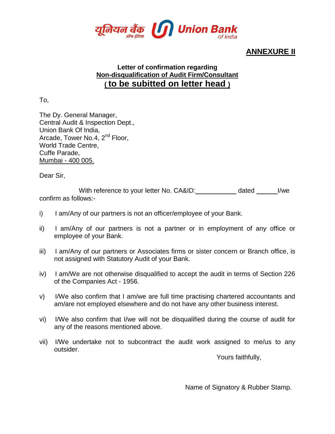

# **ANNEXURE II**

### **Letter of confirmation regarding Non-disqualification of Audit Firm/Consultant ( to be subitted on letter head )**

To,

The Dy. General Manager, Central Audit & Inspection Dept., Union Bank Of India, Arcade, Tower No.4, 2<sup>nd</sup> Floor, World Trade Centre, Cuffe Parade, Mumbai - 400 005.

Dear Sir,

With reference to your letter No. CA&ID: dated \_\_\_\_\_\_\_\_ I/we confirm as follows:-

- i) I am/Any of our partners is not an officer/employee of your Bank.
- ii) I am/Any of our partners is not a partner or in employment of any office or employee of your Bank.
- iii) I am/Any of our partners or Associates firms or sister concern or Branch office, is not assigned with Statutory Audit of your Bank.
- iv) I am/We are not otherwise disqualified to accept the audit in terms of Section 226 of the Companies Act - 1956.
- v) I/We also confirm that I am/we are full time practising chartered accountants and am/are not employed elsewhere and do not have any other business interest.
- vi) I/We also confirm that I/we will not be disqualified during the course of audit for any of the reasons mentioned above.
- vii) I/We undertake not to subcontract the audit work assigned to me/us to any outsider.

Yours faithfully,

Name of Signatory & Rubber Stamp.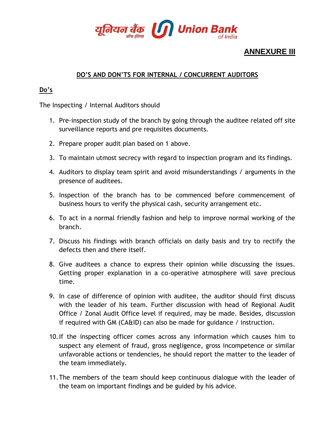

# **ANNEXURE III**

### **DO'S AND DON'TS FOR INTERNAL / CONCURRENT AUDITORS**

### **Do's**

The Inspecting / Internal Auditors should

- 1. Pre-inspection study of the branch by going through the auditee related off site surveillance reports and pre requisites documents.
- 2. Prepare proper audit plan based on 1 above.
- 3. To maintain utmost secrecy with regard to inspection program and its findings.
- 4. Auditors to display team spirit and avoid misunderstandings / arguments in the presence of auditees.
- 5. Inspection of the branch has to be commenced before commencement of business hours to verify the physical cash, security arrangement etc.
- 6. To act in a normal friendly fashion and help to improve normal working of the branch.
- 7. Discuss his findings with branch officials on daily basis and try to rectify the defects then and there itself.
- 8. Give auditees a chance to express their opinion while discussing the issues. Getting proper explanation in a co-operative atmosphere will save precious time.
- 9. In case of difference of opinion with auditee, the auditor should first discuss with the leader of his team. Further discussion with head of Regional Audit Office / Zonal Audit Office level if required, may be made. Besides, discussion if required with GM (CA&ID) can also be made for guidance / instruction.
- 10.If the inspecting officer comes across any information which causes him to suspect any element of fraud, gross negligence, gross incompetence or similar unfavorable actions or tendencies, he should report the matter to the leader of the team immediately.
- 11.The members of the team should keep continuous dialogue with the leader of the team on important findings and be guided by his advice.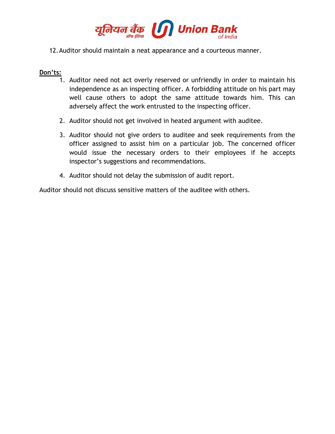

#### 12.Auditor should maintain a neat appearance and a courteous manner.

#### **Don'ts:**

- 1. Auditor need not act overly reserved or unfriendly in order to maintain his independence as an inspecting officer. A forbidding attitude on his part may well cause others to adopt the same attitude towards him. This can adversely affect the work entrusted to the inspecting officer.
- 2. Auditor should not get involved in heated argument with auditee.
- 3. Auditor should not give orders to auditee and seek requirements from the officer assigned to assist him on a particular job. The concerned officer would issue the necessary orders to their employees if he accepts inspector's suggestions and recommendations.
- 4. Auditor should not delay the submission of audit report.

Auditor should not discuss sensitive matters of the auditee with others.